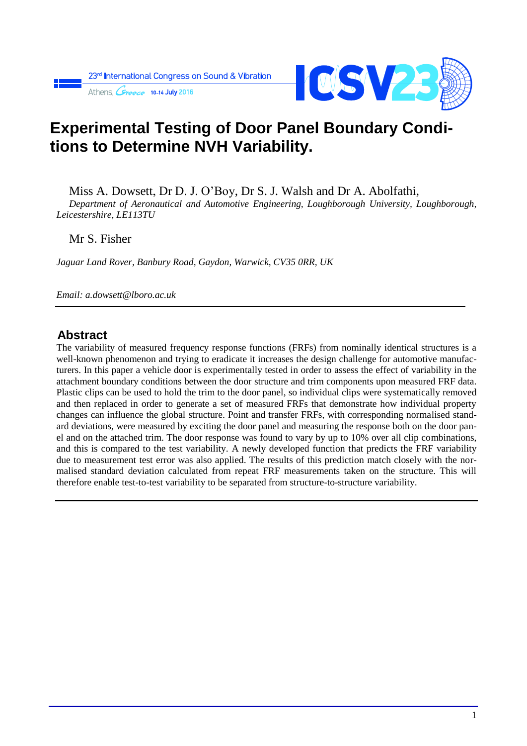

# **Experimental Testing of Door Panel Boundary Conditions to Determine NVH Variability.**

Miss A. Dowsett, Dr D. J. O'Boy, Dr S. J. Walsh and Dr A. Abolfathi,

*Department of Aeronautical and Automotive Engineering, Loughborough University, Loughborough, Leicestershire, LE113TU*

Mr S. Fisher

*Jaguar Land Rover, Banbury Road, Gaydon, Warwick, CV35 0RR, UK*

*Email: a.dowsett@lboro.ac.uk*

#### **Abstract**

The variability of measured frequency response functions (FRFs) from nominally identical structures is a well-known phenomenon and trying to eradicate it increases the design challenge for automotive manufacturers. In this paper a vehicle door is experimentally tested in order to assess the effect of variability in the attachment boundary conditions between the door structure and trim components upon measured FRF data. Plastic clips can be used to hold the trim to the door panel, so individual clips were systematically removed and then replaced in order to generate a set of measured FRFs that demonstrate how individual property changes can influence the global structure. Point and transfer FRFs, with corresponding normalised standard deviations, were measured by exciting the door panel and measuring the response both on the door panel and on the attached trim. The door response was found to vary by up to 10% over all clip combinations, and this is compared to the test variability. A newly developed function that predicts the FRF variability due to measurement test error was also applied. The results of this prediction match closely with the normalised standard deviation calculated from repeat FRF measurements taken on the structure. This will therefore enable test-to-test variability to be separated from structure-to-structure variability.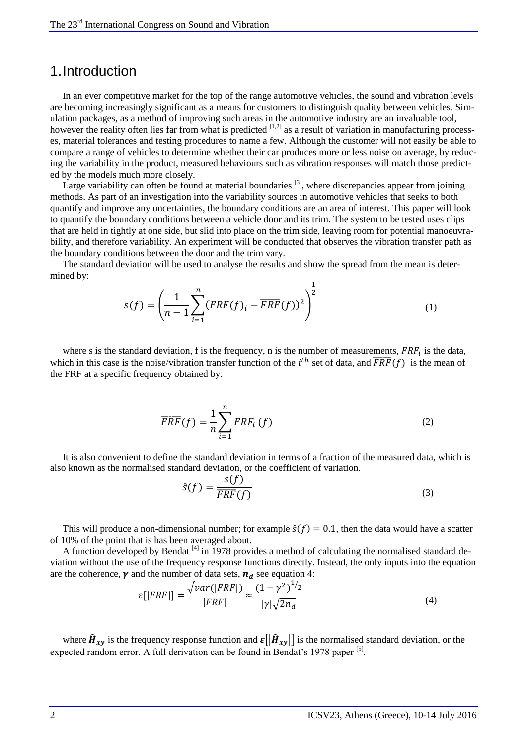#### 1.Introduction

In an ever competitive market for the top of the range automotive vehicles, the sound and vibration levels are becoming increasingly significant as a means for customers to distinguish quality between vehicles. Simulation packages, as a method of improving such areas in the automotive industry are an invaluable tool, however the reality often lies far from what is predicted  $[1,2]$  as a result of variation in manufacturing processes, material tolerances and testing procedures to name a few. Although the customer will not easily be able to compare a range of vehicles to determine whether their car produces more or less noise on average, by reducing the variability in the product, measured behaviours such as vibration responses will match those predicted by the models much more closely.

Large variability can often be found at material boundaries  $[3]$ , where discrepancies appear from joining methods. As part of an investigation into the variability sources in automotive vehicles that seeks to both quantify and improve any uncertainties, the boundary conditions are an area of interest. This paper will look to quantify the boundary conditions between a vehicle door and its trim. The system to be tested uses clips that are held in tightly at one side, but slid into place on the trim side, leaving room for potential manoeuvrability, and therefore variability. An experiment will be conducted that observes the vibration transfer path as the boundary conditions between the door and the trim vary.

The standard deviation will be used to analyse the results and show the spread from the mean is determined by:

$$
s(f) = \left(\frac{1}{n-1} \sum_{i=1}^{n} (FRF(f)_i - \overline{FRF}(f))^2\right)^{\frac{1}{2}}
$$
(1)

where s is the standard deviation, f is the frequency, n is the number of measurements,  $FRF_i$  is the data, which in this case is the noise/vibration transfer function of the  $i<sup>th</sup>$  set of data, and  $\overline{FRF}(f)$  is the mean of the FRF at a specific frequency obtained by:

$$
\overline{FRF}(f) = \frac{1}{n} \sum_{i=1}^{n} FRF_i(f)
$$
\n(2)

It is also convenient to define the standard deviation in terms of a fraction of the measured data, which is also known as the normalised standard deviation, or the coefficient of variation.

$$
\hat{s}(f) = \frac{s(f)}{\overline{FRF}(f)}
$$
(3)

This will produce a non-dimensional number; for example  $\hat{s}(f) = 0.1$ , then the data would have a scatter of 10% of the point that is has been averaged about.

A function developed by Bendat<sup>[4]</sup> in 1978 provides a method of calculating the normalised standard deviation without the use of the frequency response functions directly. Instead, the only inputs into the equation are the coherence,  $\gamma$  and the number of data sets,  $n_d$  see equation 4:

$$
\varepsilon[|FRF|] = \frac{\sqrt{var(|FRF|)}}{|FRF|} \approx \frac{(1-\gamma^2)^{1/2}}{|\gamma|\sqrt{2n_d}}\tag{4}
$$

where  $\hat{H}_{xy}$  is the frequency response function and  $\mathcal{E}[\hat{H}_{xy}]$  is the normalised standard deviation, or the expected random error. A full derivation can be found in Bendat's 1978 paper <sup>[5]</sup>.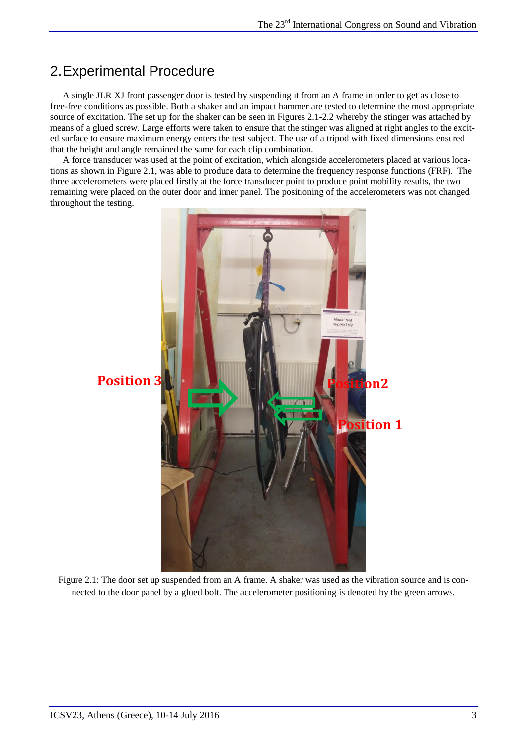## 2.Experimental Procedure

A single JLR XJ front passenger door is tested by suspending it from an A frame in order to get as close to free-free conditions as possible. Both a shaker and an impact hammer are tested to determine the most appropriate source of excitation. The set up for the shaker can be seen in Figures 2.1-2.2 whereby the stinger was attached by means of a glued screw. Large efforts were taken to ensure that the stinger was aligned at right angles to the excited surface to ensure maximum energy enters the test subject. The use of a tripod with fixed dimensions ensured that the height and angle remained the same for each clip combination.

A force transducer was used at the point of excitation, which alongside accelerometers placed at various locations as shown in Figure 2.1, was able to produce data to determine the frequency response functions (FRF). The three accelerometers were placed firstly at the force transducer point to produce point mobility results, the two remaining were placed on the outer door and inner panel. The positioning of the accelerometers was not changed throughout the testing.



Figure 2.1: The door set up suspended from an A frame. A shaker was used as the vibration source and is connected to the door panel by a glued bolt. The accelerometer positioning is denoted by the green arrows.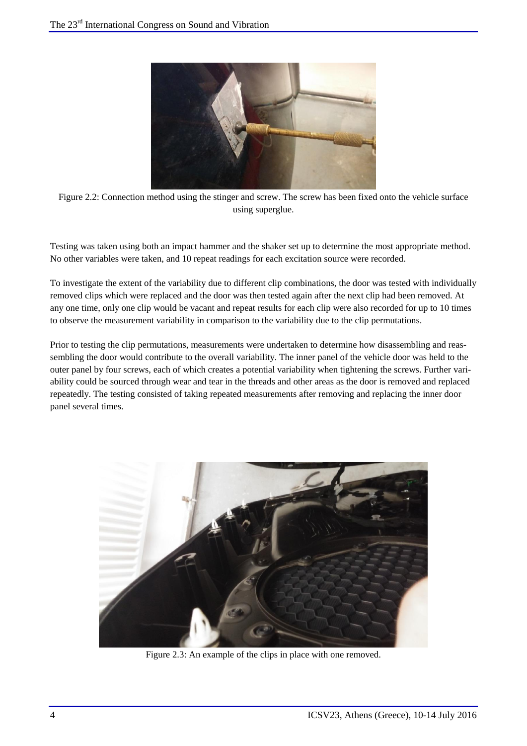

Figure 2.2: Connection method using the stinger and screw. The screw has been fixed onto the vehicle surface using superglue.

Testing was taken using both an impact hammer and the shaker set up to determine the most appropriate method. No other variables were taken, and 10 repeat readings for each excitation source were recorded.

To investigate the extent of the variability due to different clip combinations, the door was tested with individually removed clips which were replaced and the door was then tested again after the next clip had been removed. At any one time, only one clip would be vacant and repeat results for each clip were also recorded for up to 10 times to observe the measurement variability in comparison to the variability due to the clip permutations.

Prior to testing the clip permutations, measurements were undertaken to determine how disassembling and reassembling the door would contribute to the overall variability. The inner panel of the vehicle door was held to the outer panel by four screws, each of which creates a potential variability when tightening the screws. Further variability could be sourced through wear and tear in the threads and other areas as the door is removed and replaced repeatedly. The testing consisted of taking repeated measurements after removing and replacing the inner door panel several times.



Figure 2.3: An example of the clips in place with one removed.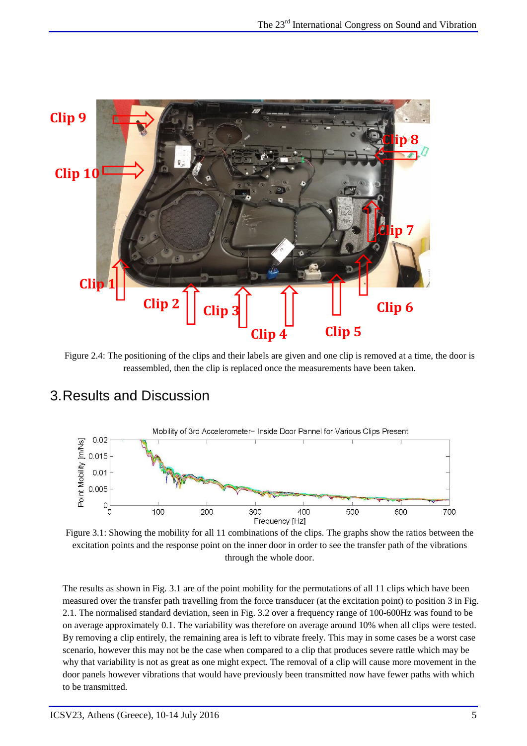

Figure 2.4: The positioning of the clips and their labels are given and one clip is removed at a time, the door is reassembled, then the clip is replaced once the measurements have been taken.

## 3.Results and Discussion



Figure 3.1: Showing the mobility for all 11 combinations of the clips. The graphs show the ratios between the excitation points and the response point on the inner door in order to see the transfer path of the vibrations through the whole door.

The results as shown in Fig. 3.1 are of the point mobility for the permutations of all 11 clips which have been measured over the transfer path travelling from the force transducer (at the excitation point) to position 3 in Fig. 2.1. The normalised standard deviation, seen in Fig. 3.2 over a frequency range of 100-600Hz was found to be on average approximately 0.1. The variability was therefore on average around 10% when all clips were tested. By removing a clip entirely, the remaining area is left to vibrate freely. This may in some cases be a worst case scenario, however this may not be the case when compared to a clip that produces severe rattle which may be why that variability is not as great as one might expect. The removal of a clip will cause more movement in the door panels however vibrations that would have previously been transmitted now have fewer paths with which to be transmitted.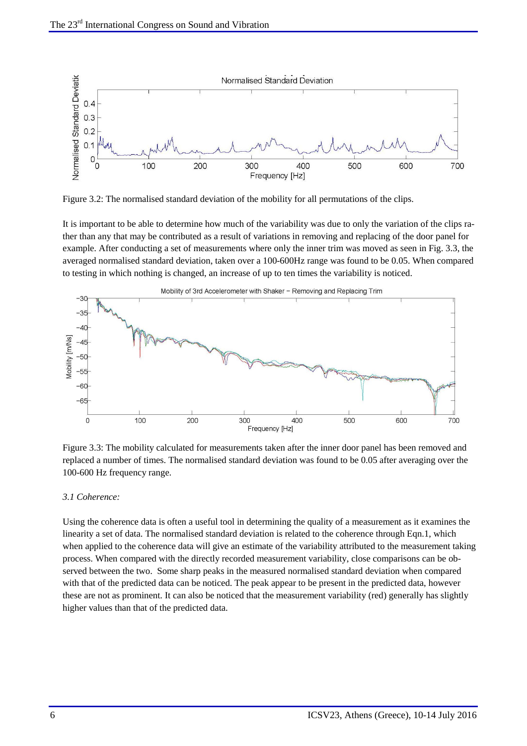

Figure 3.2: The normalised standard deviation of the mobility for all permutations of the clips.

It is important to be able to determine how much of the variability was due to only the variation of the clips rather than any that may be contributed as a result of variations in removing and replacing of the door panel for example. After conducting a set of measurements where only the inner trim was moved as seen in Fig. 3.3, the averaged normalised standard deviation, taken over a 100-600Hz range was found to be 0.05. When compared to testing in which nothing is changed, an increase of up to ten times the variability is noticed.



Figure 3.3: The mobility calculated for measurements taken after the inner door panel has been removed and replaced a number of times. The normalised standard deviation was found to be 0.05 after averaging over the 100-600 Hz frequency range.

#### *3.1 Coherence:*

Using the coherence data is often a useful tool in determining the quality of a measurement as it examines the linearity a set of data. The normalised standard deviation is related to the coherence through Eqn.1, which when applied to the coherence data will give an estimate of the variability attributed to the measurement taking process. When compared with the directly recorded measurement variability, close comparisons can be observed between the two. Some sharp peaks in the measured normalised standard deviation when compared with that of the predicted data can be noticed. The peak appear to be present in the predicted data, however these are not as prominent. It can also be noticed that the measurement variability (red) generally has slightly higher values than that of the predicted data.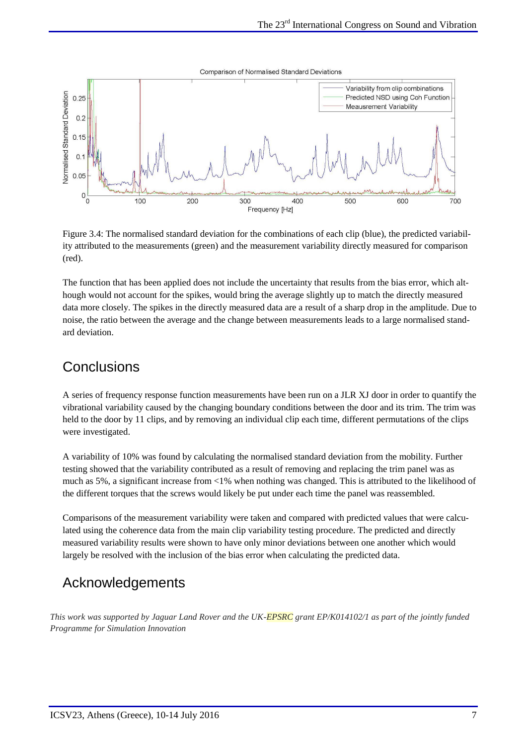Comparison of Normalised Standard Deviations



Figure 3.4: The normalised standard deviation for the combinations of each clip (blue), the predicted variability attributed to the measurements (green) and the measurement variability directly measured for comparison (red).

The function that has been applied does not include the uncertainty that results from the bias error, which although would not account for the spikes, would bring the average slightly up to match the directly measured data more closely. The spikes in the directly measured data are a result of a sharp drop in the amplitude. Due to noise, the ratio between the average and the change between measurements leads to a large normalised standard deviation.

#### **Conclusions**

A series of frequency response function measurements have been run on a JLR XJ door in order to quantify the vibrational variability caused by the changing boundary conditions between the door and its trim. The trim was held to the door by 11 clips, and by removing an individual clip each time, different permutations of the clips were investigated.

A variability of 10% was found by calculating the normalised standard deviation from the mobility. Further testing showed that the variability contributed as a result of removing and replacing the trim panel was as much as 5%, a significant increase from <1% when nothing was changed. This is attributed to the likelihood of the different torques that the screws would likely be put under each time the panel was reassembled.

Comparisons of the measurement variability were taken and compared with predicted values that were calculated using the coherence data from the main clip variability testing procedure. The predicted and directly measured variability results were shown to have only minor deviations between one another which would largely be resolved with the inclusion of the bias error when calculating the predicted data.

## Acknowledgements

*This work was supported by Jaguar Land Rover and the UK-EPSRC grant EP/K014102/1 as part of the jointly funded Programme for Simulation Innovation*